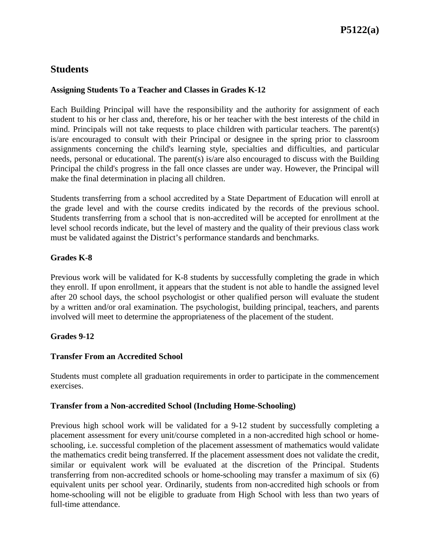## **Students**

#### **Assigning Students To a Teacher and Classes in Grades K-12**

Each Building Principal will have the responsibility and the authority for assignment of each student to his or her class and, therefore, his or her teacher with the best interests of the child in mind. Principals will not take requests to place children with particular teachers. The parent(s) is/are encouraged to consult with their Principal or designee in the spring prior to classroom assignments concerning the child's learning style, specialties and difficulties, and particular needs, personal or educational. The parent(s) is/are also encouraged to discuss with the Building Principal the child's progress in the fall once classes are under way. However, the Principal will make the final determination in placing all children.

Students transferring from a school accredited by a State Department of Education will enroll at the grade level and with the course credits indicated by the records of the previous school. Students transferring from a school that is non-accredited will be accepted for enrollment at the level school records indicate, but the level of mastery and the quality of their previous class work must be validated against the District's performance standards and benchmarks.

#### **Grades K-8**

Previous work will be validated for K-8 students by successfully completing the grade in which they enroll. If upon enrollment, it appears that the student is not able to handle the assigned level after 20 school days, the school psychologist or other qualified person will evaluate the student by a written and/or oral examination. The psychologist, building principal, teachers, and parents involved will meet to determine the appropriateness of the placement of the student.

#### **Grades 9-12**

#### **Transfer From an Accredited School**

Students must complete all graduation requirements in order to participate in the commencement exercises.

#### **Transfer from a Non-accredited School (Including Home-Schooling)**

Previous high school work will be validated for a 9-12 student by successfully completing a placement assessment for every unit/course completed in a non-accredited high school or homeschooling, i.e. successful completion of the placement assessment of mathematics would validate the mathematics credit being transferred. If the placement assessment does not validate the credit, similar or equivalent work will be evaluated at the discretion of the Principal. Students transferring from non-accredited schools or home-schooling may transfer a maximum of six (6) equivalent units per school year. Ordinarily, students from non-accredited high schools or from home-schooling will not be eligible to graduate from High School with less than two years of full-time attendance.